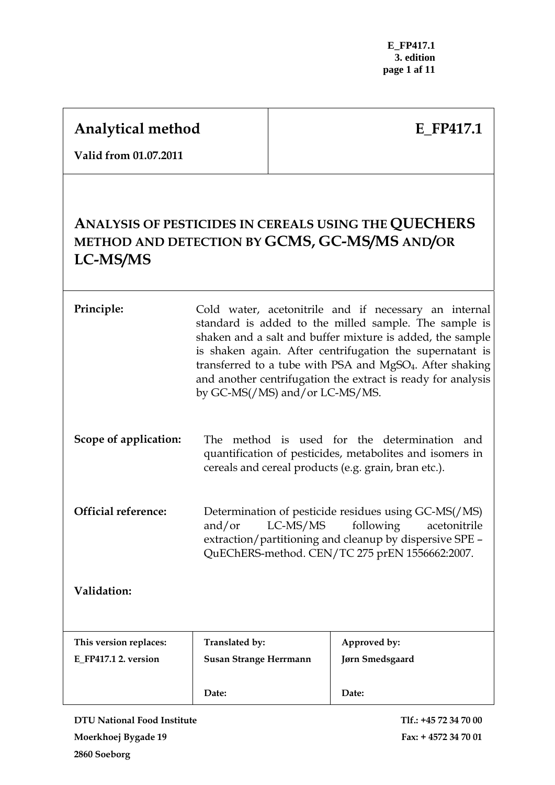# **Analytical method**

# **E\_FP417.1**

**Valid from 01.07.2011** 

# **ANALYSIS OF PESTICIDES IN CEREALS USING THE QUECHERS METHOD AND DETECTION BY GCMS, GC-MS/MS AND/OR LC-MS/MS**

| Principle:                 | Cold water, acetonitrile and if necessary an internal<br>standard is added to the milled sample. The sample is<br>shaken and a salt and buffer mixture is added, the sample<br>is shaken again. After centrifugation the supernatant is<br>transferred to a tube with PSA and MgSO <sub>4</sub> . After shaking<br>and another centrifugation the extract is ready for analysis<br>by GC-MS(/MS) and/or LC-MS/MS. |                        |
|----------------------------|-------------------------------------------------------------------------------------------------------------------------------------------------------------------------------------------------------------------------------------------------------------------------------------------------------------------------------------------------------------------------------------------------------------------|------------------------|
| Scope of application:      | The method is used for the determination and<br>quantification of pesticides, metabolites and isomers in<br>cereals and cereal products (e.g. grain, bran etc.).                                                                                                                                                                                                                                                  |                        |
| <b>Official reference:</b> | Determination of pesticide residues using GC-MS(/MS)<br>LC-MS/MS<br>following<br>and/or<br>acetonitrile<br>extraction/partitioning and cleanup by dispersive SPE -<br>QuEChERS-method. CEN/TC 275 prEN 1556662:2007.                                                                                                                                                                                              |                        |
| Validation:                |                                                                                                                                                                                                                                                                                                                                                                                                                   |                        |
| This version replaces:     | Translated by:                                                                                                                                                                                                                                                                                                                                                                                                    | Approved by:           |
| E FP417.1 2. version       | <b>Susan Strange Herrmann</b>                                                                                                                                                                                                                                                                                                                                                                                     | <b>Jørn Smedsgaard</b> |
|                            | Date:                                                                                                                                                                                                                                                                                                                                                                                                             | Date:                  |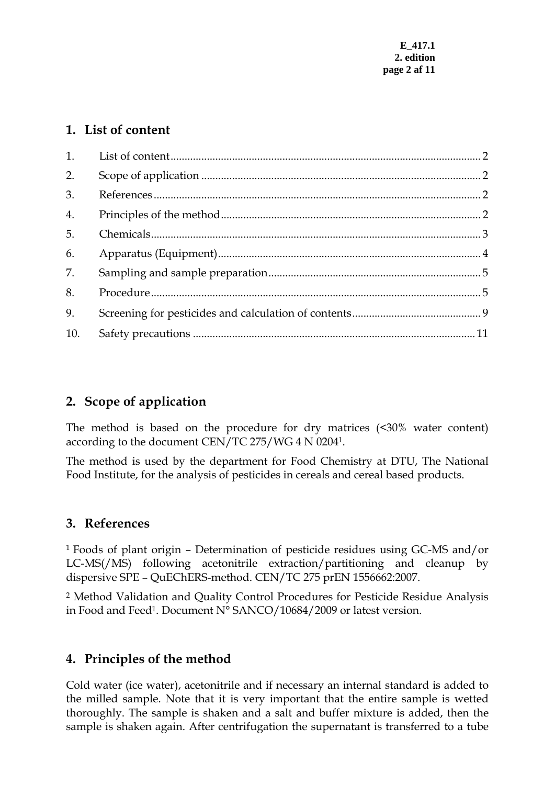## <span id="page-1-0"></span>**1. List of content**

| 2.  |  |
|-----|--|
| 3.  |  |
| 4.  |  |
| 5.  |  |
| 6.  |  |
| 7.  |  |
| 8.  |  |
| 9.  |  |
| 10. |  |

## **2. Scope of application**

The method is based on the procedure for dry matrices (<30% water content) according to the document CEN/TC 275/WG 4 N 02041.

The method is used by the department for Food Chemistry at DTU, The National Food Institute, for the analysis of pesticides in cereals and cereal based products.

## **3. References**

1 Foods of plant origin – Determination of pesticide residues using GC-MS and/or LC-MS(/MS) following acetonitrile extraction/partitioning and cleanup by dispersive SPE – QuEChERS-method. CEN/TC 275 prEN 1556662:2007.

2 Method Validation and Quality Control Procedures for Pesticide Residue Analysis in Food and Feed1. Document N° SANCO/10684/2009 or latest version.

## **4. Principles of the method**

Cold water (ice water), acetonitrile and if necessary an internal standard is added to the milled sample. Note that it is very important that the entire sample is wetted thoroughly. The sample is shaken and a salt and buffer mixture is added, then the sample is shaken again. After centrifugation the supernatant is transferred to a tube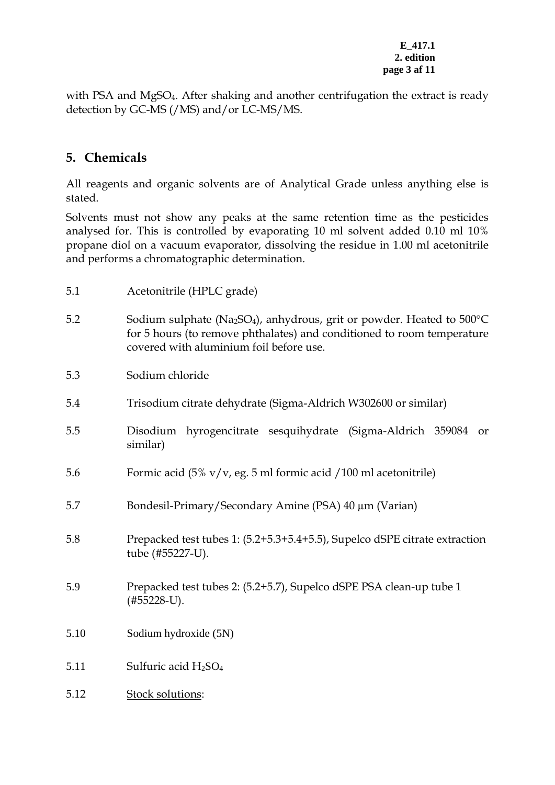#### **E\_417.1 2. edition page 3 af 11**

<span id="page-2-0"></span>with PSA and MgSO<sub>4</sub>. After shaking and another centrifugation the extract is ready detection by GC-MS (/MS) and/or LC-MS/MS.

## **5. Chemicals**

All reagents and organic solvents are of Analytical Grade unless anything else is stated.

Solvents must not show any peaks at the same retention time as the pesticides analysed for. This is controlled by evaporating 10 ml solvent added 0.10 ml 10% propane diol on a vacuum evaporator, dissolving the residue in 1.00 ml acetonitrile and performs a chromatographic determination.

| 5.1  | Acetonitrile (HPLC grade)                                                                                                                                                                                                     |  |
|------|-------------------------------------------------------------------------------------------------------------------------------------------------------------------------------------------------------------------------------|--|
| 5.2  | Sodium sulphate (Na <sub>2</sub> SO <sub>4</sub> ), anhydrous, grit or powder. Heated to $500^{\circ}$ C<br>for 5 hours (to remove phthalates) and conditioned to room temperature<br>covered with aluminium foil before use. |  |
| 5.3  | Sodium chloride                                                                                                                                                                                                               |  |
| 5.4  | Trisodium citrate dehydrate (Sigma-Aldrich W302600 or similar)                                                                                                                                                                |  |
| 5.5  | Disodium hyrogencitrate sesquihydrate (Sigma-Aldrich 359084<br>or<br>similar)                                                                                                                                                 |  |
| 5.6  | Formic acid $(5\% \text{ v/v}, \text{eg. } 5 \text{ ml formic acid } / 100 \text{ ml acetonitrile})$                                                                                                                          |  |
| 5.7  | Bondesil-Primary/Secondary Amine (PSA) 40 μm (Varian)                                                                                                                                                                         |  |
| 5.8  | Prepacked test tubes 1: (5.2+5.3+5.4+5.5), Supelco dSPE citrate extraction<br>tube (#55227-U).                                                                                                                                |  |
| 5.9  | Prepacked test tubes 2: (5.2+5.7), Supelco dSPE PSA clean-up tube 1<br>$(#55228 - U).$                                                                                                                                        |  |
| 5.10 | Sodium hydroxide (5N)                                                                                                                                                                                                         |  |
| 5.11 | Sulfuric acid $H_2SO_4$                                                                                                                                                                                                       |  |
| 5.12 | Stock solutions:                                                                                                                                                                                                              |  |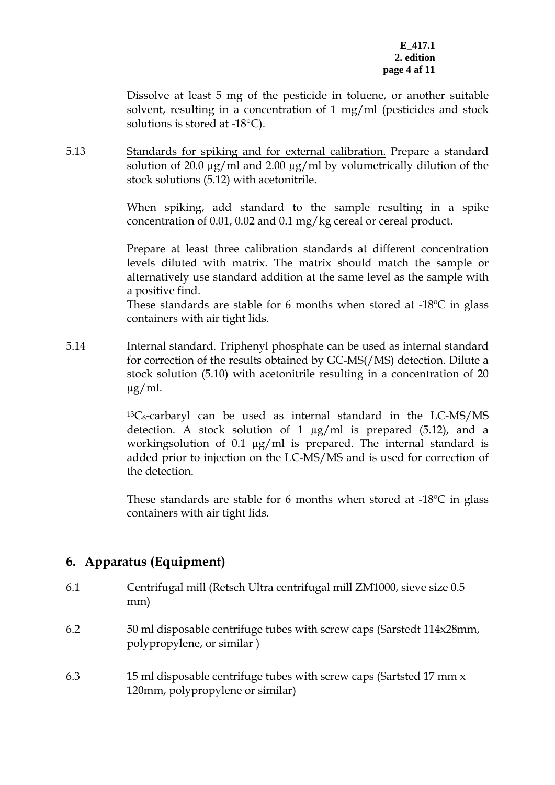<span id="page-3-0"></span>Dissolve at least 5 mg of the pesticide in toluene, or another suitable solvent, resulting in a concentration of 1 mg/ml (pesticides and stock solutions is stored at -18°C).

5.13 Standards for spiking and for external calibration. Prepare a standard solution of 20.0 µg/ml and 2.00 µg/ml by volumetrically dilution of the stock solutions (5.12) with acetonitrile.

> When spiking, add standard to the sample resulting in a spike concentration of 0.01, 0.02 and 0.1 mg/kg cereal or cereal product.

> Prepare at least three calibration standards at different concentration levels diluted with matrix. The matrix should match the sample or alternatively use standard addition at the same level as the sample with a positive find.

> These standards are stable for 6 months when stored at -18ºC in glass containers with air tight lids.

5.14 Internal standard. Triphenyl phosphate can be used as internal standard for correction of the results obtained by GC-MS(/MS) detection. Dilute a stock solution (5.10) with acetonitrile resulting in a concentration of 20 µg/ml.

> $13C_6$ -carbaryl can be used as internal standard in the LC-MS/MS detection. A stock solution of 1 µg/ml is prepared (5.12), and a workingsolution of 0.1  $\mu$ g/ml is prepared. The internal standard is added prior to injection on the LC-MS/MS and is used for correction of the detection.

> These standards are stable for 6 months when stored at -18ºC in glass containers with air tight lids.

## **6. Apparatus (Equipment)**

6.1 Centrifugal mill (Retsch Ultra centrifugal mill ZM1000, sieve size 0.5 mm) 6.2 50 ml disposable centrifuge tubes with screw caps (Sarstedt 114x28mm, polypropylene, or similar ) 6.3 15 ml disposable centrifuge tubes with screw caps (Sartsted 17 mm x 120mm, polypropylene or similar)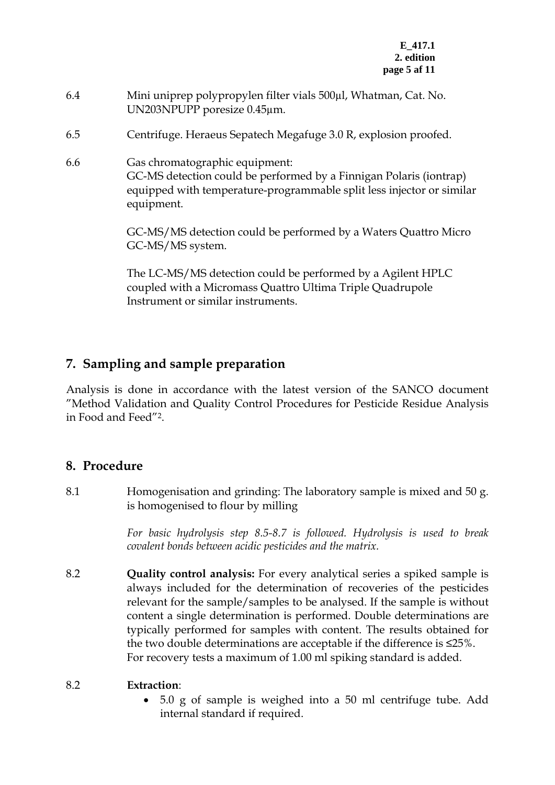- <span id="page-4-0"></span>6.4 Mini uniprep polypropylen filter vials 500µl, Whatman, Cat. No. UN203NPUPP poresize 0.45µm.
- 6.5 Centrifuge. Heraeus Sepatech Megafuge 3.0 R, explosion proofed.
- 6.6 Gas chromatographic equipment: GC-MS detection could be performed by a Finnigan Polaris (iontrap) equipped with temperature-programmable split less injector or similar equipment.

GC-MS/MS detection could be performed by a Waters Quattro Micro GC-MS/MS system.

The LC-MS/MS detection could be performed by a Agilent HPLC coupled with a Micromass Quattro Ultima Triple Quadrupole Instrument or similar instruments.

## **7. Sampling and sample preparation**

Analysis is done in accordance with the latest version of the SANCO document "Method Validation and Quality Control Procedures for Pesticide Residue Analysis in Food and Feed"2.

## **8. Procedure**

8.1 Homogenisation and grinding: The laboratory sample is mixed and 50 g. is homogenised to flour by milling

> *For basic hydrolysis step 8.5-8.7 is followed. Hydrolysis is used to break covalent bonds between acidic pesticides and the matrix.*

8.2 **Quality control analysis:** For every analytical series a spiked sample is always included for the determination of recoveries of the pesticides relevant for the sample/samples to be analysed. If the sample is without content a single determination is performed. Double determinations are typically performed for samples with content. The results obtained for the two double determinations are acceptable if the difference is ≤25%. For recovery tests a maximum of 1.00 ml spiking standard is added.

## 8.2 **Extraction**:

• 5.0 g of sample is weighed into a 50 ml centrifuge tube. Add internal standard if required.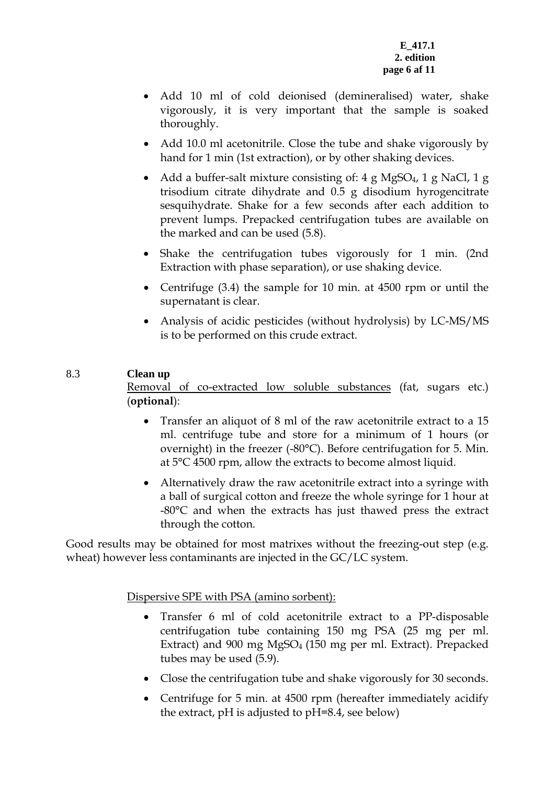- Add 10 ml of cold deionised (demineralised) water, shake vigorously, it is very important that the sample is soaked thoroughly.
- Add 10.0 ml acetonitrile. Close the tube and shake vigorously by hand for 1 min (1st extraction), or by other shaking devices.
- Add a buffer-salt mixture consisting of: 4 g MgSO<sub>4</sub>, 1 g NaCl, 1 g trisodium citrate dihydrate and 0.5 g disodium hyrogencitrate sesquihydrate. Shake for a few seconds after each addition to prevent lumps. Prepacked centrifugation tubes are available on the marked and can be used (5.8).
- Shake the centrifugation tubes vigorously for 1 min. (2nd Extraction with phase separation), or use shaking device.
- Centrifuge (3.4) the sample for 10 min. at 4500 rpm or until the supernatant is clear.
- Analysis of acidic pesticides (without hydrolysis) by LC-MS/MS is to be performed on this crude extract.

## 8.3 **Clean up**

Removal of co-extracted low soluble substances (fat, sugars etc.) (**optional**):

- Transfer an aliquot of 8 ml of the raw acetonitrile extract to a 15 ml. centrifuge tube and store for a minimum of 1 hours (or overnight) in the freezer (-80°C). Before centrifugation for 5. Min. at 5°C 4500 rpm, allow the extracts to become almost liquid.
- Alternatively draw the raw acetonitrile extract into a syringe with a ball of surgical cotton and freeze the whole syringe for 1 hour at -80°C and when the extracts has just thawed press the extract through the cotton.

Good results may be obtained for most matrixes without the freezing-out step (e.g. wheat) however less contaminants are injected in the GC/LC system.

Dispersive SPE with PSA (amino sorbent):

- Transfer 6 ml of cold acetonitrile extract to a PP-disposable centrifugation tube containing 150 mg PSA (25 mg per ml. Extract) and 900 mg MgSO4 (150 mg per ml. Extract). Prepacked tubes may be used (5.9).
- Close the centrifugation tube and shake vigorously for 30 seconds.
- Centrifuge for 5 min. at 4500 rpm (hereafter immediately acidify the extract, pH is adjusted to pH=8.4, see below)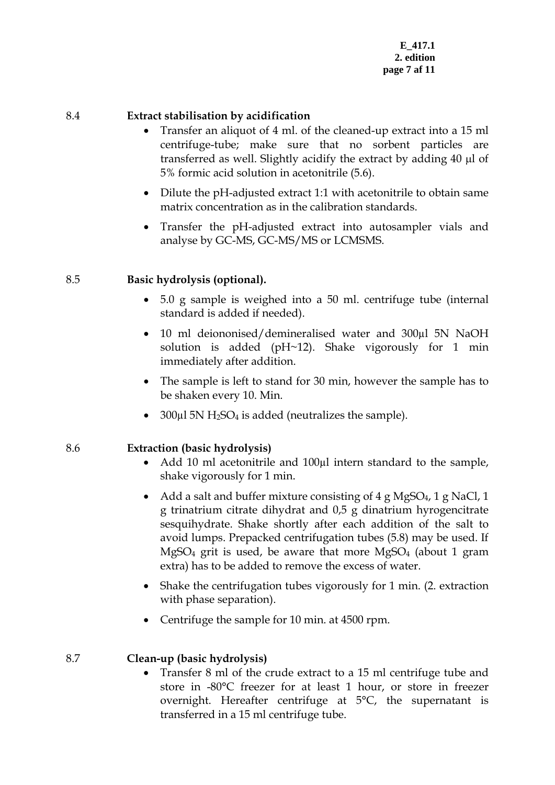#### 8.4 **Extract stabilisation by acidification**

- Transfer an aliquot of 4 ml. of the cleaned-up extract into a 15 ml centrifuge-tube; make sure that no sorbent particles are transferred as well. Slightly acidify the extract by adding 40 μl of 5% formic acid solution in acetonitrile (5.6).
- Dilute the pH-adjusted extract 1:1 with acetonitrile to obtain same matrix concentration as in the calibration standards.
- Transfer the pH-adjusted extract into autosampler vials and analyse by GC-MS, GC-MS/MS or LCMSMS.

## 8.5 **Basic hydrolysis (optional).**

- 5.0 g sample is weighed into a 50 ml. centrifuge tube (internal standard is added if needed).
- 10 ml deiononised/demineralised water and 300µl 5N NaOH solution is added (pH~12). Shake vigorously for 1 min immediately after addition.
- The sample is left to stand for 30 min, however the sample has to be shaken every 10. Min.
- 300 $\mu$ l 5N H<sub>2</sub>SO<sub>4</sub> is added (neutralizes the sample).

## 8.6 **Extraction (basic hydrolysis)**

- Add 10 ml acetonitrile and 100µl intern standard to the sample, shake vigorously for 1 min.
- Add a salt and buffer mixture consisting of  $4 \text{ g MgSO}_4$ ,  $1 \text{ g NaCl}$ ,  $1 \text{ g NaCl}$ g trinatrium citrate dihydrat and 0,5 g dinatrium hyrogencitrate sesquihydrate. Shake shortly after each addition of the salt to avoid lumps. Prepacked centrifugation tubes (5.8) may be used. If MgSO<sub>4</sub> grit is used, be aware that more MgSO<sub>4</sub> (about 1 gram extra) has to be added to remove the excess of water.
- Shake the centrifugation tubes vigorously for 1 min. (2. extraction with phase separation).
- Centrifuge the sample for 10 min. at 4500 rpm.

## 8.7 **Clean-up (basic hydrolysis)**

• Transfer 8 ml of the crude extract to a 15 ml centrifuge tube and store in -80°C freezer for at least 1 hour, or store in freezer overnight. Hereafter centrifuge at 5°C, the supernatant is transferred in a 15 ml centrifuge tube.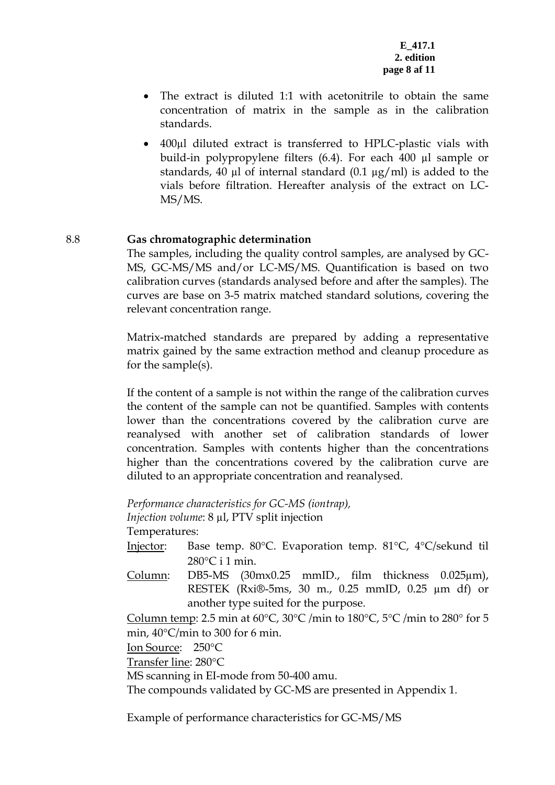- The extract is diluted 1:1 with acetonitrile to obtain the same concentration of matrix in the sample as in the calibration standards.
- 400µl diluted extract is transferred to HPLC-plastic vials with build-in polypropylene filters (6.4). For each 400 µl sample or standards, 40  $\mu$ l of internal standard (0.1  $\mu$ g/ml) is added to the vials before filtration. Hereafter analysis of the extract on LC-MS/MS.

## 8.8 **Gas chromatographic determination**

The samples, including the quality control samples, are analysed by GC-MS, GC-MS/MS and/or LC-MS/MS. Quantification is based on two calibration curves (standards analysed before and after the samples). The curves are base on 3-5 matrix matched standard solutions, covering the relevant concentration range.

Matrix-matched standards are prepared by adding a representative matrix gained by the same extraction method and cleanup procedure as for the sample(s).

If the content of a sample is not within the range of the calibration curves the content of the sample can not be quantified. Samples with contents lower than the concentrations covered by the calibration curve are reanalysed with another set of calibration standards of lower concentration. Samples with contents higher than the concentrations higher than the concentrations covered by the calibration curve are diluted to an appropriate concentration and reanalysed.

*Performance characteristics for GC-MS (iontrap), Injection volume*: 8 µl, PTV split injection Temperatures:

- Injector: Base temp. 80°C. Evaporation temp. 81°C, 4°C/sekund til 280°C i 1 min.
- Column: DB5-MS (30mx0.25 mmID., film thickness 0.025µm), RESTEK (Rxi®-5ms, 30 m., 0.25 mmID, 0.25 µm df) or another type suited for the purpose.

Column temp: 2.5 min at 60 $^{\circ}$ C, 30 $^{\circ}$ C /min to 180 $^{\circ}$ C, 5 $^{\circ}$ C /min to 280 $^{\circ}$  for 5 min, 40°C/min to 300 for 6 min.

Ion Source: 250°C

Transfer line: 280°C

MS scanning in EI-mode from 50-400 amu.

The compounds validated by GC-MS are presented in Appendix 1.

Example of performance characteristics for GC-MS/MS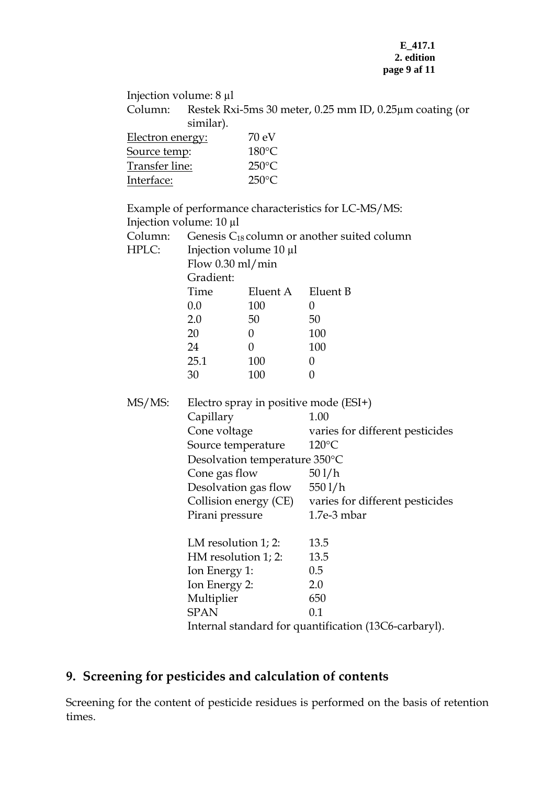#### **E\_417.1 2. edition page 9 af 11**

<span id="page-8-0"></span>

| Column:                        | Injection volume: $8 \mu l$<br>Restek Rxi-5ms 30 meter, 0.25 mm ID, 0.25 µm coating (or<br>similar). |                   |                                                       |  |
|--------------------------------|------------------------------------------------------------------------------------------------------|-------------------|-------------------------------------------------------|--|
| Electron energy:               |                                                                                                      | 70 eV             |                                                       |  |
|                                |                                                                                                      | $180^{\circ}$ C   |                                                       |  |
| Source temp:<br>Transfer line: |                                                                                                      | $250^{\circ}$ C   |                                                       |  |
| Interface:                     |                                                                                                      | $250^{\circ}$ C   |                                                       |  |
|                                |                                                                                                      |                   |                                                       |  |
|                                | Injection volume: 10 µl                                                                              |                   | Example of performance characteristics for LC-MS/MS:  |  |
| Column:                        |                                                                                                      |                   |                                                       |  |
| HPLC:                          | Genesis $C_{18}$ column or another suited column<br>Injection volume 10 µl                           |                   |                                                       |  |
|                                | Flow $0.30$ ml/min                                                                                   |                   |                                                       |  |
|                                | Gradient:                                                                                            |                   |                                                       |  |
|                                | Time                                                                                                 | Eluent A Eluent B |                                                       |  |
|                                | $0.0\,$                                                                                              | 100               | $\theta$                                              |  |
|                                | 2.0                                                                                                  | 50                | 50                                                    |  |
|                                | 20                                                                                                   | $\overline{0}$    | 100                                                   |  |
|                                | 24                                                                                                   | $\overline{0}$    | 100                                                   |  |
|                                | 25.1                                                                                                 | 100               | $\theta$                                              |  |
|                                | 30                                                                                                   | 100               | $\theta$                                              |  |
| MS/MS:                         |                                                                                                      |                   | Electro spray in positive mode $(ESI+)$               |  |
|                                | Capillary                                                                                            |                   | 1.00                                                  |  |
|                                | Cone voltage                                                                                         |                   | varies for different pesticides                       |  |
|                                | Source temperature                                                                                   |                   | $120^{\circ}$ C                                       |  |
|                                | Desolvation temperature 350°C<br>Cone gas flow<br>Desolvation gas flow 550 l/h                       |                   |                                                       |  |
|                                |                                                                                                      |                   | 501/h                                                 |  |
|                                |                                                                                                      |                   |                                                       |  |
|                                |                                                                                                      |                   | Collision energy (CE) varies for different pesticides |  |
|                                | Pirani pressure                                                                                      |                   | $1.7e-3$ mbar                                         |  |
| LM resolution $1$ ; 2:         |                                                                                                      |                   | 13.5                                                  |  |
|                                | HM resolution 1; 2:                                                                                  |                   | 13.5                                                  |  |
|                                | Ion Energy 1:                                                                                        |                   | 0.5                                                   |  |
|                                | Ion Energy 2:                                                                                        |                   | 2.0                                                   |  |
|                                | Multiplier                                                                                           |                   | 650                                                   |  |
|                                | <b>SPAN</b>                                                                                          |                   | 0.1                                                   |  |
|                                |                                                                                                      |                   | Internal standard for quantification (13C6-carbaryl). |  |

## **9. Screening for pesticides and calculation of contents**

Screening for the content of pesticide residues is performed on the basis of retention times.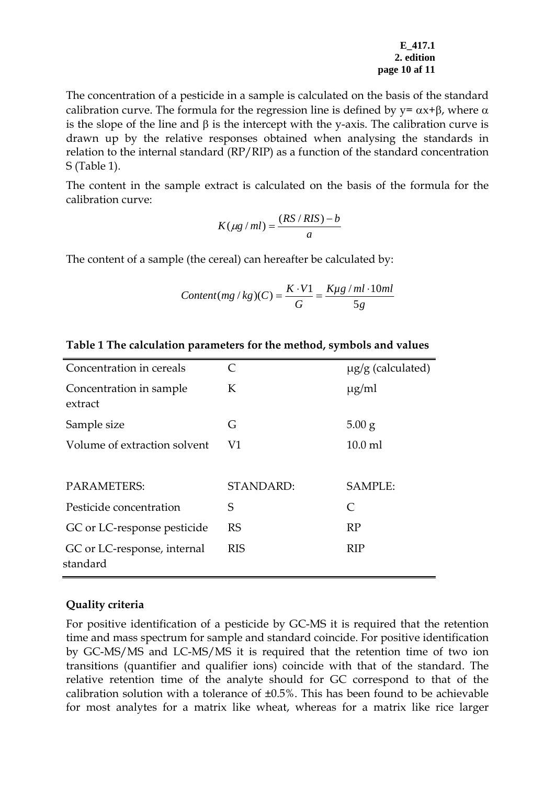#### **E\_417.1 2. edition page 10 af 11**

The concentration of a pesticide in a sample is calculated on the basis of the standard calibration curve. The formula for the regression line is defined by  $y = \alpha x + \beta$ , where  $\alpha$ is the slope of the line and  $\beta$  is the intercept with the y-axis. The calibration curve is drawn up by the relative responses obtained when analysing the standards in relation to the internal standard (RP/RIP) as a function of the standard concentration S (Table 1).

The content in the sample extract is calculated on the basis of the formula for the calibration curve:

$$
K(\mu g / ml) = \frac{(RS / RIS) - b}{a}
$$

The content of a sample (the cereal) can hereafter be calculated by:

$$
Content(mg/kg)(C) = \frac{K \cdot V1}{G} = \frac{K\mu g/ml \cdot 10ml}{5g}
$$

| Concentration in cereals                | C          | $\mu$ g/g (calculated) |
|-----------------------------------------|------------|------------------------|
| Concentration in sample<br>extract      | K          | $\mu$ g/ml             |
| Sample size                             | G          | $5.00$ g               |
| Volume of extraction solvent            | V1         | $10.0$ ml              |
|                                         |            |                        |
| PARAMETERS:                             | STANDARD:  | <b>SAMPLE:</b>         |
| Pesticide concentration                 | S          | $\subset$              |
| GC or LC-response pesticide             | <b>RS</b>  | <b>RP</b>              |
| GC or LC-response, internal<br>standard | <b>RIS</b> | <b>RIP</b>             |

#### **Table 1 The calculation parameters for the method, symbols and values**

#### **Quality criteria**

For positive identification of a pesticide by GC-MS it is required that the retention time and mass spectrum for sample and standard coincide. For positive identification by GC-MS/MS and LC-MS/MS it is required that the retention time of two ion transitions (quantifier and qualifier ions) coincide with that of the standard. The relative retention time of the analyte should for GC correspond to that of the calibration solution with a tolerance of  $\pm 0.5$ %. This has been found to be achievable for most analytes for a matrix like wheat, whereas for a matrix like rice larger